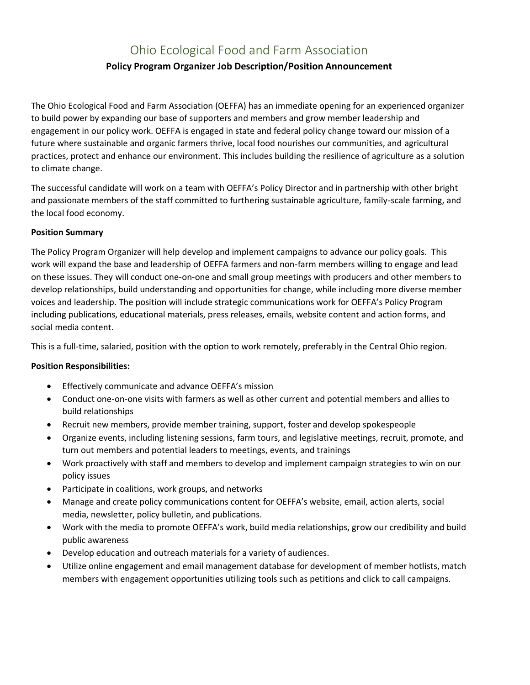# Ohio Ecological Food and Farm Association **Policy Program Organizer Job Description/Position Announcement**

The Ohio Ecological Food and Farm Association (OEFFA) has an immediate opening for an experienced organizer to build power by expanding our base of supporters and members and grow member leadership and engagement in our policy work. OEFFA is engaged in state and federal policy change toward our mission of a future where sustainable and organic farmers thrive, local food nourishes our communities, and agricultural practices, protect and enhance our environment. This includes building the resilience of agriculture as a solution to climate change.

The successful candidate will work on a team with OEFFA's Policy Director and in partnership with other bright and passionate members of the staff committed to furthering sustainable agriculture, family-scale farming, and the local food economy.

### **Position Summary**

The Policy Program Organizer will help develop and implement campaigns to advance our policy goals. This work will expand the base and leadership of OEFFA farmers and non-farm members willing to engage and lead on these issues. They will conduct one-on-one and small group meetings with producers and other members to develop relationships, build understanding and opportunities for change, while including more diverse member voices and leadership. The position will include strategic communications work for OEFFA's Policy Program including publications, educational materials, press releases, emails, website content and action forms, and social media content.

This is a full-time, salaried, position with the option to work remotely, preferably in the Central Ohio region.

## **Position Responsibilities:**

- Effectively communicate and advance OEFFA's mission
- Conduct one-on-one visits with farmers as well as other current and potential members and allies to build relationships
- Recruit new members, provide member training, support, foster and develop spokespeople
- Organize events, including listening sessions, farm tours, and legislative meetings, recruit, promote, and turn out members and potential leaders to meetings, events, and trainings
- Work proactively with staff and members to develop and implement campaign strategies to win on our policy issues
- Participate in coalitions, work groups, and networks
- Manage and create policy communications content for OEFFA's website, email, action alerts, social media, newsletter, policy bulletin, and publications.
- Work with the media to promote OEFFA's work, build media relationships, grow our credibility and build public awareness
- Develop education and outreach materials for a variety of audiences.
- Utilize online engagement and email management database for development of member hotlists, match members with engagement opportunities utilizing tools such as petitions and click to call campaigns.